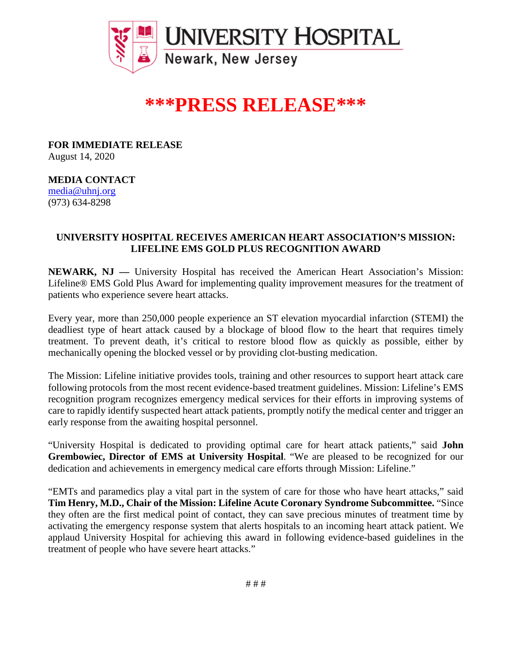

# **\*\*\*PRESS RELEASE\*\*\***

**FOR IMMEDIATE RELEASE** August 14, 2020

### **MEDIA CONTACT**

[media@uhnj.org](about:blank) (973) 634-8298

## **UNIVERSITY HOSPITAL RECEIVES AMERICAN HEART ASSOCIATION'S MISSION: LIFELINE EMS GOLD PLUS RECOGNITION AWARD**

**NEWARK, NJ —** University Hospital has received the American Heart Association's Mission: Lifeline® EMS Gold Plus Award for implementing quality improvement measures for the treatment of patients who experience severe heart attacks.

Every year, more than 250,000 people experience an ST elevation myocardial infarction (STEMI) the deadliest type of heart attack caused by a blockage of blood flow to the heart that requires timely treatment. To prevent death, it's critical to restore blood flow as quickly as possible, either by mechanically opening the blocked vessel or by providing clot-busting medication.

The Mission: Lifeline initiative provides tools, training and other resources to support heart attack care following protocols from the most recent evidence-based treatment guidelines. Mission: Lifeline's EMS recognition program recognizes emergency medical services for their efforts in improving systems of care to rapidly identify suspected heart attack patients, promptly notify the medical center and trigger an early response from the awaiting hospital personnel.

"University Hospital is dedicated to providing optimal care for heart attack patients," said **John Grembowiec, Director of EMS at University Hospital**. "We are pleased to be recognized for our dedication and achievements in emergency medical care efforts through Mission: Lifeline."

"EMTs and paramedics play a vital part in the system of care for those who have heart attacks," said **Tim Henry, M.D., Chair of the Mission: Lifeline Acute Coronary Syndrome Subcommittee.** "Since they often are the first medical point of contact, they can save precious minutes of treatment time by activating the emergency response system that alerts hospitals to an incoming heart attack patient. We applaud University Hospital for achieving this award in following evidence-based guidelines in the treatment of people who have severe heart attacks."